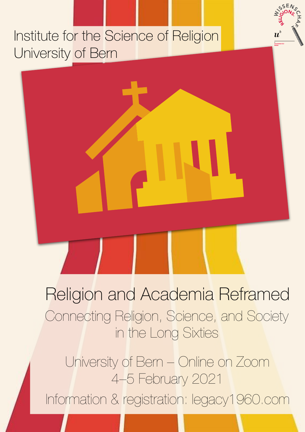# Institute for the Science of Religion University of Bern



University of Bern – Online on Zoom 4–5 February 2021 Information & registration: legacy1960.com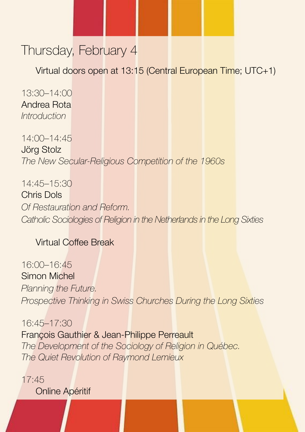## Thursday, February 4

Virtual doors open at 13:15 (Central European Time; UTC+1)

13:30–14:00 Andrea Rota *Introduction* 

14:00–14:45 Jörg Stolz *The New Secular-Religious Competition of the 1960s* 

14:45–15:30 Chris Dols *Of Restauration and Reform. Catholic Sociologies of Religion in the Netherlands in the Long Sixties*

### Virtual Coffee Break

16:00–16:45 Simon Michel *Planning the Future. Prospective Thinking in Swiss Churches During the Long Sixties*

16:45–17:30 François Gauthier & Jean-Philippe Perreault *The Development of the Sociology of Religion in Québec. The Quiet Revolution of Raymond Lemieux*

17:45 Online Apéritif